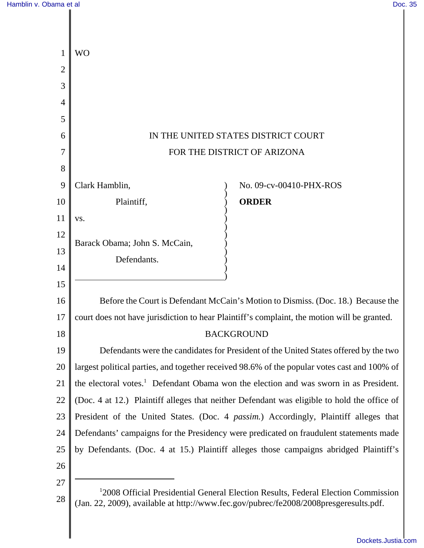|                | <b>WO</b>                                                                                                                                                                              |  |
|----------------|----------------------------------------------------------------------------------------------------------------------------------------------------------------------------------------|--|
| $\overline{2}$ |                                                                                                                                                                                        |  |
| 3              |                                                                                                                                                                                        |  |
| 4              |                                                                                                                                                                                        |  |
| 5              |                                                                                                                                                                                        |  |
| 6              | IN THE UNITED STATES DISTRICT COURT                                                                                                                                                    |  |
| 7              | FOR THE DISTRICT OF ARIZONA                                                                                                                                                            |  |
| 8              |                                                                                                                                                                                        |  |
| 9              | Clark Hamblin,<br>No. 09-cv-00410-PHX-ROS                                                                                                                                              |  |
| 10             | <b>ORDER</b><br>Plaintiff,                                                                                                                                                             |  |
| 11             | VS.                                                                                                                                                                                    |  |
| 12             |                                                                                                                                                                                        |  |
| 13             | Barack Obama; John S. McCain,                                                                                                                                                          |  |
| 14             | Defendants.                                                                                                                                                                            |  |
| 15             |                                                                                                                                                                                        |  |
| 16             | Before the Court is Defendant McCain's Motion to Dismiss. (Doc. 18.) Because the                                                                                                       |  |
| 17             | court does not have jurisdiction to hear Plaintiff's complaint, the motion will be granted.                                                                                            |  |
| 18             | <b>BACKGROUND</b>                                                                                                                                                                      |  |
| 19             | Defendants were the candidates for President of the United States offered by the two                                                                                                   |  |
| 20             | largest political parties, and together received 98.6% of the popular votes cast and 100% of                                                                                           |  |
| 21             | the electoral votes. <sup>1</sup> Defendant Obama won the election and was sworn in as President.                                                                                      |  |
| 22             | (Doc. 4 at 12.) Plaintiff alleges that neither Defendant was eligible to hold the office of                                                                                            |  |
| 23             | President of the United States. (Doc. 4 <i>passim.</i> ) Accordingly, Plaintiff alleges that                                                                                           |  |
| 24             | Defendants' campaigns for the Presidency were predicated on fraudulent statements made                                                                                                 |  |
| 25             | by Defendants. (Doc. 4 at 15.) Plaintiff alleges those campaigns abridged Plaintiff's                                                                                                  |  |
| 26             |                                                                                                                                                                                        |  |
| 27             |                                                                                                                                                                                        |  |
| 28             | <sup>1</sup> 2008 Official Presidential General Election Results, Federal Election Commission<br>(Jan. 22, 2009), available at http://www.fec.gov/pubrec/fe2008/2008presgeresults.pdf. |  |